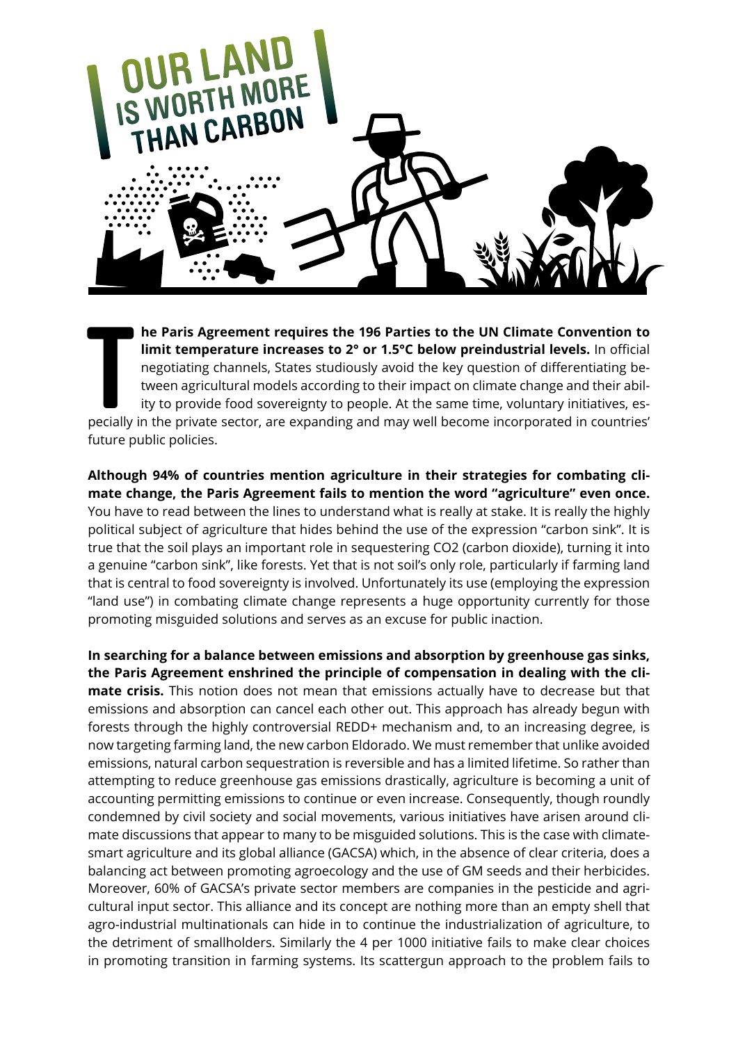

**THE PARTIS Agreement requires the 196 Parties to the UN Climate Convention to limit temperature increases to 2° or 1.5°C below preindustrial levels. In official negotiating channels, States studiously avoid the key questi he Paris Agreement requires the 196 Parties to the UN Climate Convention to limit temperature increases to 2° or 1.5°C below preindustrial levels.** In official negotiating channels, States studiously avoid the key question of differentiating between agricultural models according to their impact on climate change and their ability to provide food sovereignty to people. At the same time, voluntary initiatives, esfuture public policies.

**Although 94% of countries mention agriculture in their strategies for combating climate change, the Paris Agreement fails to mention the word "agriculture" even once.**  You have to read between the lines to understand what is really at stake. It is really the highly political subject of agriculture that hides behind the use of the expression "carbon sink". It is true that the soil plays an important role in sequestering CO2 (carbon dioxide), turning it into a genuine "carbon sink", like forests. Yet that is not soil's only role, particularly if farming land that is central to food sovereignty is involved. Unfortunately its use (employing the expression "land use") in combating climate change represents a huge opportunity currently for those promoting misguided solutions and serves as an excuse for public inaction.

**In searching for a balance between emissions and absorption by greenhouse gas sinks, the Paris Agreement enshrined the principle of compensation in dealing with the climate crisis.** This notion does not mean that emissions actually have to decrease but that emissions and absorption can cancel each other out. This approach has already begun with forests through the highly controversial REDD+ mechanism and, to an increasing degree, is now targeting farming land, the new carbon Eldorado. We must remember that unlike avoided emissions, natural carbon sequestration is reversible and has a limited lifetime. So rather than attempting to reduce greenhouse gas emissions drastically, agriculture is becoming a unit of accounting permitting emissions to continue or even increase. Consequently, though roundly condemned by civil society and social movements, various initiatives have arisen around climate discussions that appear to many to be misguided solutions. This is the case with climatesmart agriculture and its global alliance (GACSA) which, in the absence of clear criteria, does a balancing act between promoting agroecology and the use of GM seeds and their herbicides. Moreover, 60% of GACSA's private sector members are companies in the pesticide and agricultural input sector. This alliance and its concept are nothing more than an empty shell that agro-industrial multinationals can hide in to continue the industrialization of agriculture, to the detriment of smallholders. Similarly the 4 per 1000 initiative fails to make clear choices in promoting transition in farming systems. Its scattergun approach to the problem fails to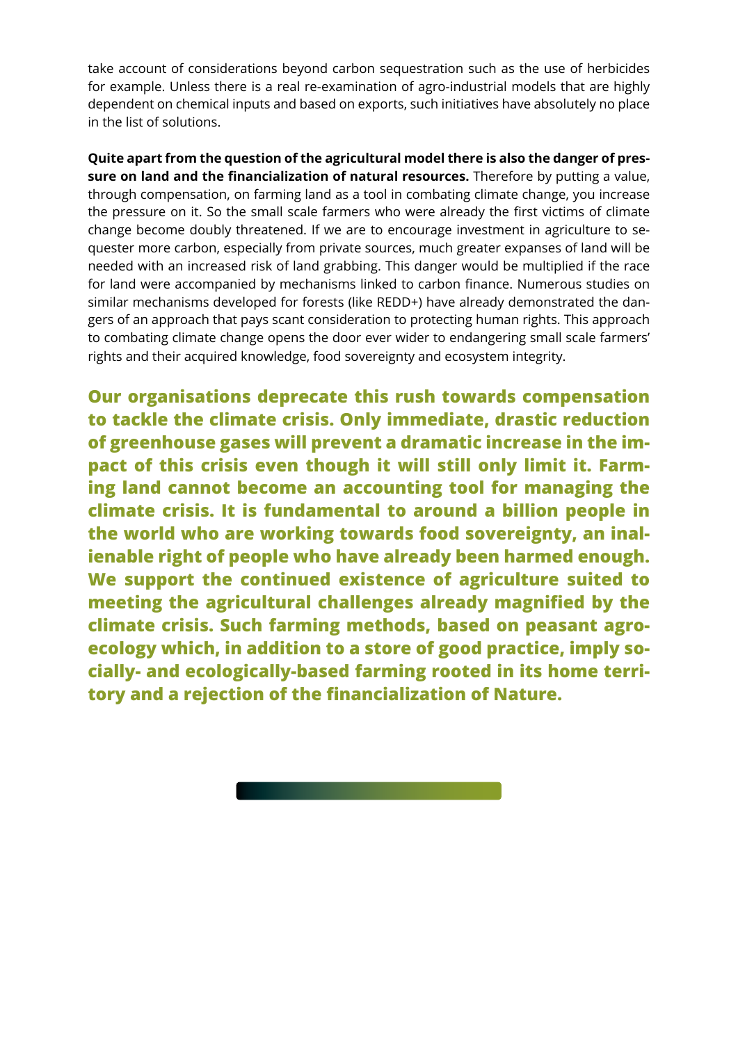take account of considerations beyond carbon sequestration such as the use of herbicides for example. Unless there is a real re-examination of agro-industrial models that are highly dependent on chemical inputs and based on exports, such initiatives have absolutely no place in the list of solutions.

**Quite apart from the question of the agricultural model there is also the danger of pressure on land and the financialization of natural resources.** Therefore by putting a value, through compensation, on farming land as a tool in combating climate change, you increase the pressure on it. So the small scale farmers who were already the first victims of climate change become doubly threatened. If we are to encourage investment in agriculture to sequester more carbon, especially from private sources, much greater expanses of land will be needed with an increased risk of land grabbing. This danger would be multiplied if the race for land were accompanied by mechanisms linked to carbon finance. Numerous studies on similar mechanisms developed for forests (like REDD+) have already demonstrated the dangers of an approach that pays scant consideration to protecting human rights. This approach to combating climate change opens the door ever wider to endangering small scale farmers' rights and their acquired knowledge, food sovereignty and ecosystem integrity.

**Our organisations deprecate this rush towards compensation to tackle the climate crisis. Only immediate, drastic reduction of greenhouse gases will prevent a dramatic increase in the impact of this crisis even though it will still only limit it. Farming land cannot become an accounting tool for managing the climate crisis. It is fundamental to around a billion people in the world who are working towards food sovereignty, an inalienable right of people who have already been harmed enough. We support the continued existence of agriculture suited to meeting the agricultural challenges already magnified by the climate crisis. Such farming methods, based on peasant agroecology which, in addition to a store of good practice, imply socially- and ecologically-based farming rooted in its home territory and a rejection of the financialization of Nature.**